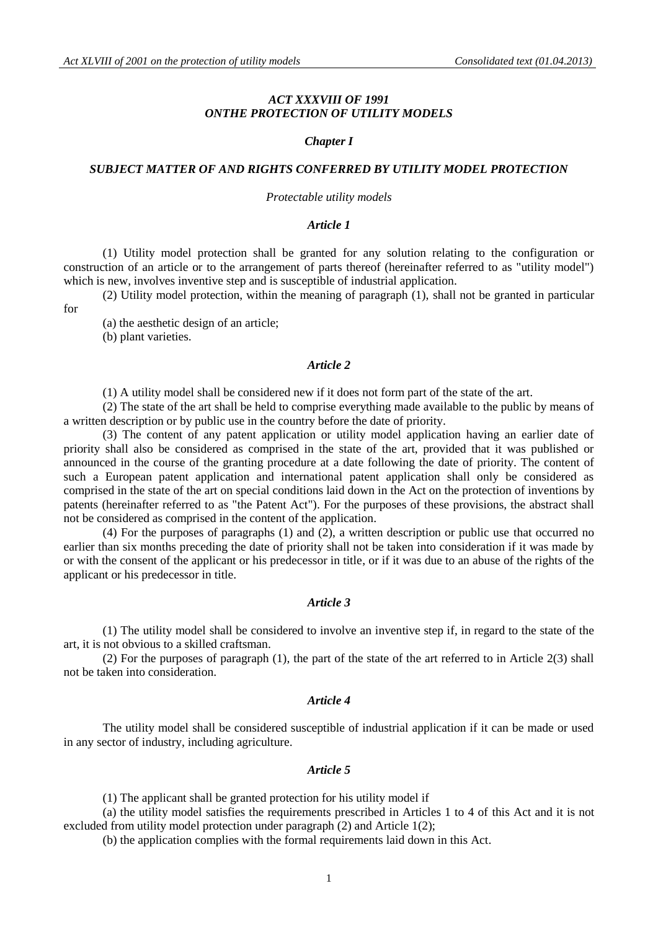# *ACT XXXVIII OF 1991 ONTHE PROTECTION OF UTILITY MODELS*

### *Chapter I*

### *SUBJECT MATTER OF AND RIGHTS CONFERRED BY UTILITY MODEL PROTECTION*

#### *Protectable utility models*

# *Article 1*

(1) Utility model protection shall be granted for any solution relating to the configuration or construction of an article or to the arrangement of parts thereof (hereinafter referred to as "utility model") which is new, involves inventive step and is susceptible of industrial application.

(2) Utility model protection, within the meaning of paragraph (1), shall not be granted in particular for

(a) the aesthetic design of an article;

(b) plant varieties.

# *Article 2*

(1) A utility model shall be considered new if it does not form part of the state of the art.

(2) The state of the art shall be held to comprise everything made available to the public by means of a written description or by public use in the country before the date of priority.

(3) The content of any patent application or utility model application having an earlier date of priority shall also be considered as comprised in the state of the art, provided that it was published or announced in the course of the granting procedure at a date following the date of priority. The content of such a European patent application and international patent application shall only be considered as comprised in the state of the art on special conditions laid down in the Act on the protection of inventions by patents (hereinafter referred to as "the Patent Act"). For the purposes of these provisions, the abstract shall not be considered as comprised in the content of the application.

(4) For the purposes of paragraphs (1) and (2), a written description or public use that occurred no earlier than six months preceding the date of priority shall not be taken into consideration if it was made by or with the consent of the applicant or his predecessor in title, or if it was due to an abuse of the rights of the applicant or his predecessor in title.

### *Article 3*

(1) The utility model shall be considered to involve an inventive step if, in regard to the state of the art, it is not obvious to a skilled craftsman.

(2) For the purposes of paragraph (1), the part of the state of the art referred to in Article 2(3) shall not be taken into consideration.

# *Article 4*

The utility model shall be considered susceptible of industrial application if it can be made or used in any sector of industry, including agriculture.

#### *Article 5*

(1) The applicant shall be granted protection for his utility model if

(a) the utility model satisfies the requirements prescribed in Articles 1 to 4 of this Act and it is not excluded from utility model protection under paragraph (2) and Article 1(2);

(b) the application complies with the formal requirements laid down in this Act.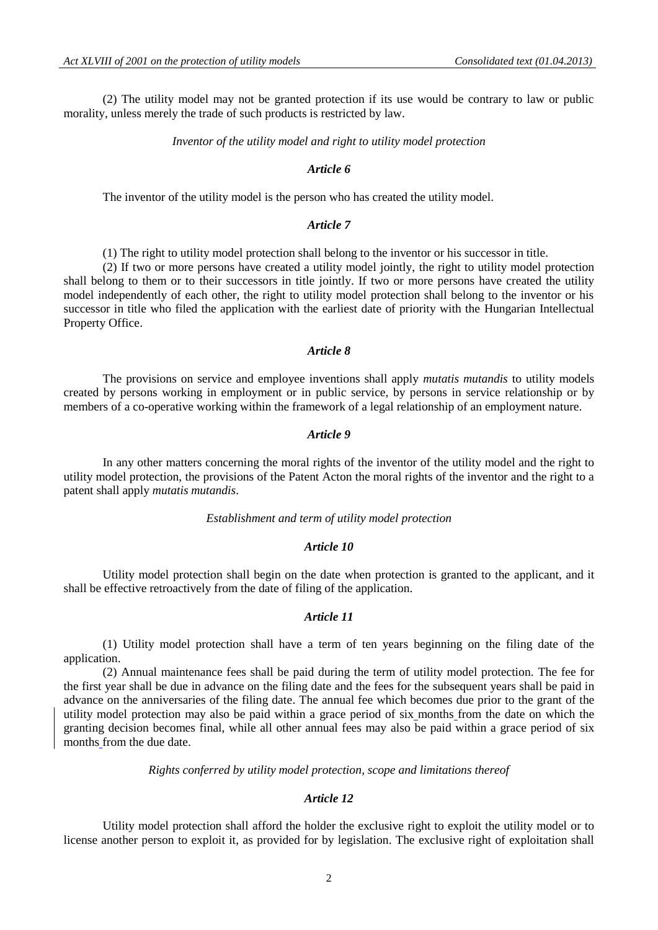(2) The utility model may not be granted protection if its use would be contrary to law or public morality, unless merely the trade of such products is restricted by law.

*Inventor of the utility model and right to utility model protection*

#### *Article 6*

The inventor of the utility model is the person who has created the utility model.

### *Article 7*

(1) The right to utility model protection shall belong to the inventor or his successor in title.

(2) If two or more persons have created a utility model jointly, the right to utility model protection shall belong to them or to their successors in title jointly. If two or more persons have created the utility model independently of each other, the right to utility model protection shall belong to the inventor or his successor in title who filed the application with the earliest date of priority with the Hungarian Intellectual Property Office.

### *Article 8*

The provisions on service and employee inventions shall apply *mutatis mutandis* to utility models created by persons working in employment or in public service, by persons in service relationship or by members of a co-operative working within the framework of a legal relationship of an employment nature.

### *Article 9*

In any other matters concerning the moral rights of the inventor of the utility model and the right to utility model protection, the provisions of the Patent Acton the moral rights of the inventor and the right to a patent shall apply *mutatis mutandis*.

#### *Establishment and term of utility model protection*

### *Article 10*

Utility model protection shall begin on the date when protection is granted to the applicant, and it shall be effective retroactively from the date of filing of the application.

#### *Article 11*

(1) Utility model protection shall have a term of ten years beginning on the filing date of the application.

(2) Annual maintenance fees shall be paid during the term of utility model protection. The fee for the first year shall be due in advance on the filing date and the fees for the subsequent years shall be paid in advance on the anniversaries of the filing date. The annual fee which becomes due prior to the grant of the utility model protection may also be paid within a grace period of six months from the date on which the granting decision becomes final, while all other annual fees may also be paid within a grace period of six months from the due date.

*Rights conferred by utility model protection, scope and limitations thereof*

# *Article 12*

Utility model protection shall afford the holder the exclusive right to exploit the utility model or to license another person to exploit it, as provided for by legislation. The exclusive right of exploitation shall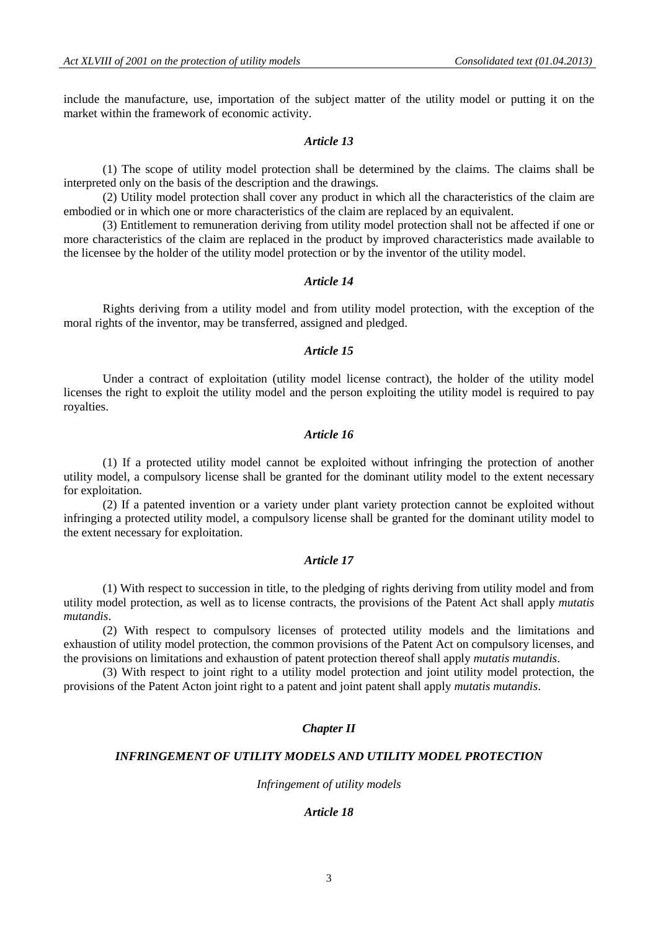include the manufacture, use, importation of the subject matter of the utility model or putting it on the market within the framework of economic activity.

# *Article 13*

(1) The scope of utility model protection shall be determined by the claims. The claims shall be interpreted only on the basis of the description and the drawings.

(2) Utility model protection shall cover any product in which all the characteristics of the claim are embodied or in which one or more characteristics of the claim are replaced by an equivalent.

(3) Entitlement to remuneration deriving from utility model protection shall not be affected if one or more characteristics of the claim are replaced in the product by improved characteristics made available to the licensee by the holder of the utility model protection or by the inventor of the utility model.

#### *Article 14*

Rights deriving from a utility model and from utility model protection, with the exception of the moral rights of the inventor, may be transferred, assigned and pledged.

# *Article 15*

Under a contract of exploitation (utility model license contract), the holder of the utility model licenses the right to exploit the utility model and the person exploiting the utility model is required to pay royalties.

# *Article 16*

(1) If a protected utility model cannot be exploited without infringing the protection of another utility model, a compulsory license shall be granted for the dominant utility model to the extent necessary for exploitation.

(2) If a patented invention or a variety under plant variety protection cannot be exploited without infringing a protected utility model, a compulsory license shall be granted for the dominant utility model to the extent necessary for exploitation.

### *Article 17*

(1) With respect to succession in title, to the pledging of rights deriving from utility model and from utility model protection, as well as to license contracts, the provisions of the Patent Act shall apply *mutatis mutandis*.

(2) With respect to compulsory licenses of protected utility models and the limitations and exhaustion of utility model protection, the common provisions of the Patent Act on compulsory licenses, and the provisions on limitations and exhaustion of patent protection thereof shall apply *mutatis mutandis*.

(3) With respect to joint right to a utility model protection and joint utility model protection, the provisions of the Patent Acton joint right to a patent and joint patent shall apply *mutatis mutandis*.

### *Chapter II*

### *INFRINGEMENT OF UTILITY MODELS AND UTILITY MODEL PROTECTION*

#### *Infringement of utility models*

#### *Article 18*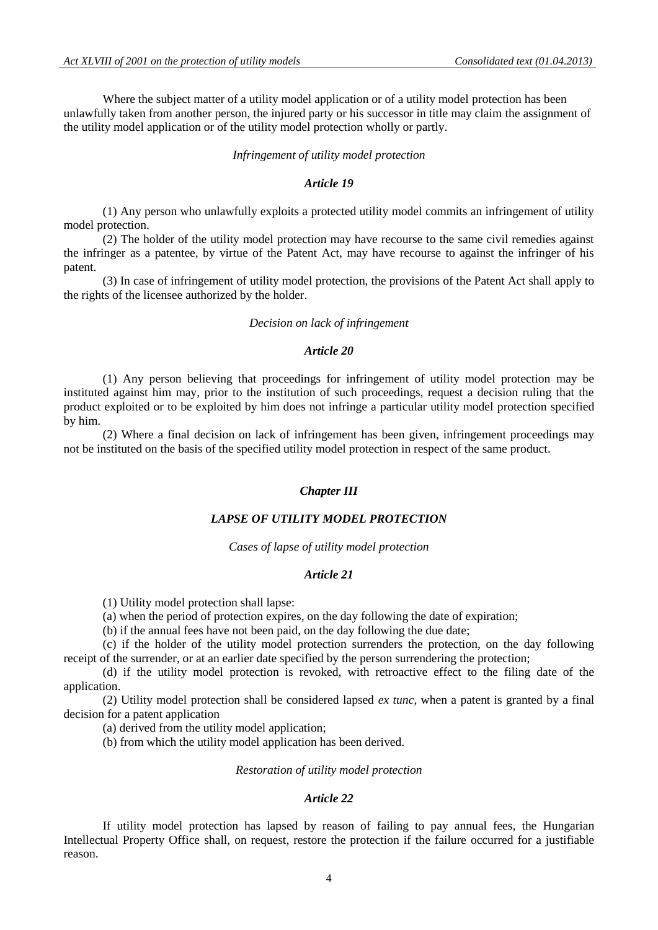Where the subject matter of a utility model application or of a utility model protection has been unlawfully taken from another person, the injured party or his successor in title may claim the assignment of the utility model application or of the utility model protection wholly or partly.

#### *Infringement of utility model protection*

### *Article 19*

(1) Any person who unlawfully exploits a protected utility model commits an infringement of utility model protection.

(2) The holder of the utility model protection may have recourse to the same civil remedies against the infringer as a patentee, by virtue of the Patent Act, may have recourse to against the infringer of his patent.

(3) In case of infringement of utility model protection, the provisions of the Patent Act shall apply to the rights of the licensee authorized by the holder.

#### *Decision on lack of infringement*

# *Article 20*

(1) Any person believing that proceedings for infringement of utility model protection may be instituted against him may, prior to the institution of such proceedings, request a decision ruling that the product exploited or to be exploited by him does not infringe a particular utility model protection specified by him.

(2) Where a final decision on lack of infringement has been given, infringement proceedings may not be instituted on the basis of the specified utility model protection in respect of the same product.

### *Chapter III*

### *LAPSE OF UTILITY MODEL PROTECTION*

*Cases of lapse of utility model protection*

### *Article 21*

(1) Utility model protection shall lapse:

(a) when the period of protection expires, on the day following the date of expiration;

(b) if the annual fees have not been paid, on the day following the due date;

(c) if the holder of the utility model protection surrenders the protection, on the day following receipt of the surrender, or at an earlier date specified by the person surrendering the protection;

(d) if the utility model protection is revoked, with retroactive effect to the filing date of the application.

(2) Utility model protection shall be considered lapsed *ex tunc*, when a patent is granted by a final decision for a patent application

(a) derived from the utility model application;

(b) from which the utility model application has been derived.

### *Restoration of utility model protection*

# *Article 22*

If utility model protection has lapsed by reason of failing to pay annual fees, the Hungarian Intellectual Property Office shall, on request, restore the protection if the failure occurred for a justifiable reason.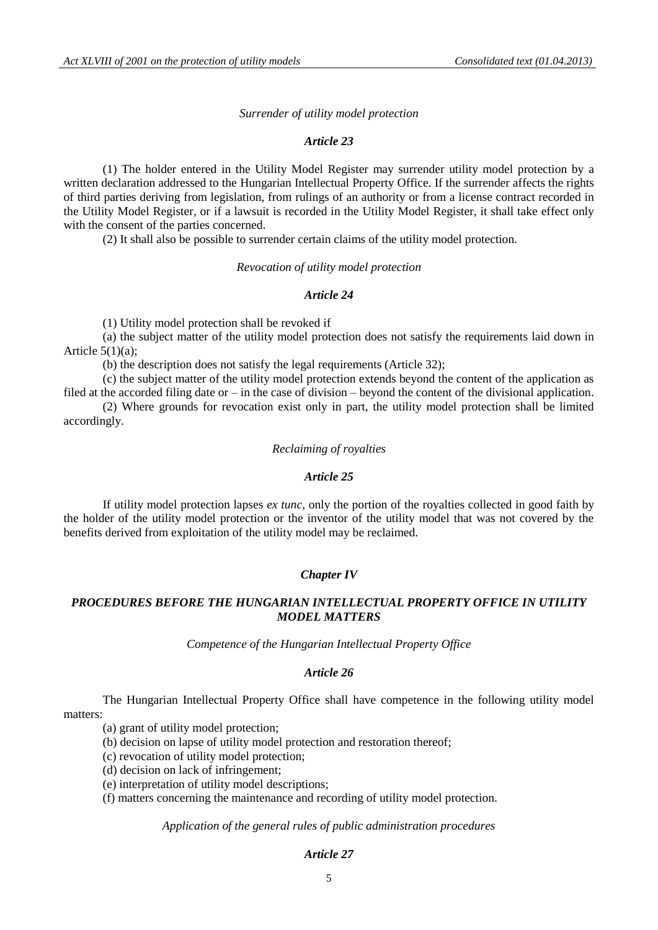#### *Surrender of utility model protection*

### *Article 23*

(1) The holder entered in the Utility Model Register may surrender utility model protection by a written declaration addressed to the Hungarian Intellectual Property Office. If the surrender affects the rights of third parties deriving from legislation, from rulings of an authority or from a license contract recorded in the Utility Model Register, or if a lawsuit is recorded in the Utility Model Register, it shall take effect only with the consent of the parties concerned.

(2) It shall also be possible to surrender certain claims of the utility model protection.

#### *Revocation of utility model protection*

#### *Article 24*

(1) Utility model protection shall be revoked if

(a) the subject matter of the utility model protection does not satisfy the requirements laid down in Article  $5(1)(a)$ :

(b) the description does not satisfy the legal requirements (Article 32);

(c) the subject matter of the utility model protection extends beyond the content of the application as filed at the accorded filing date or – in the case of division – beyond the content of the divisional application.

(2) Where grounds for revocation exist only in part, the utility model protection shall be limited accordingly.

# *Reclaiming of royalties*

## *Article 25*

If utility model protection lapses *ex tunc*, only the portion of the royalties collected in good faith by the holder of the utility model protection or the inventor of the utility model that was not covered by the benefits derived from exploitation of the utility model may be reclaimed.

### *Chapter IV*

# *PROCEDURES BEFORE THE HUNGARIAN INTELLECTUAL PROPERTY OFFICE IN UTILITY MODEL MATTERS*

*Competence of the Hungarian Intellectual Property Office*

#### *Article 26*

The Hungarian Intellectual Property Office shall have competence in the following utility model matters:

(a) grant of utility model protection;

(b) decision on lapse of utility model protection and restoration thereof;

(c) revocation of utility model protection;

(d) decision on lack of infringement;

(e) interpretation of utility model descriptions;

(f) matters concerning the maintenance and recording of utility model protection.

*Application of the general rules of public administration procedures*

# *Article 27*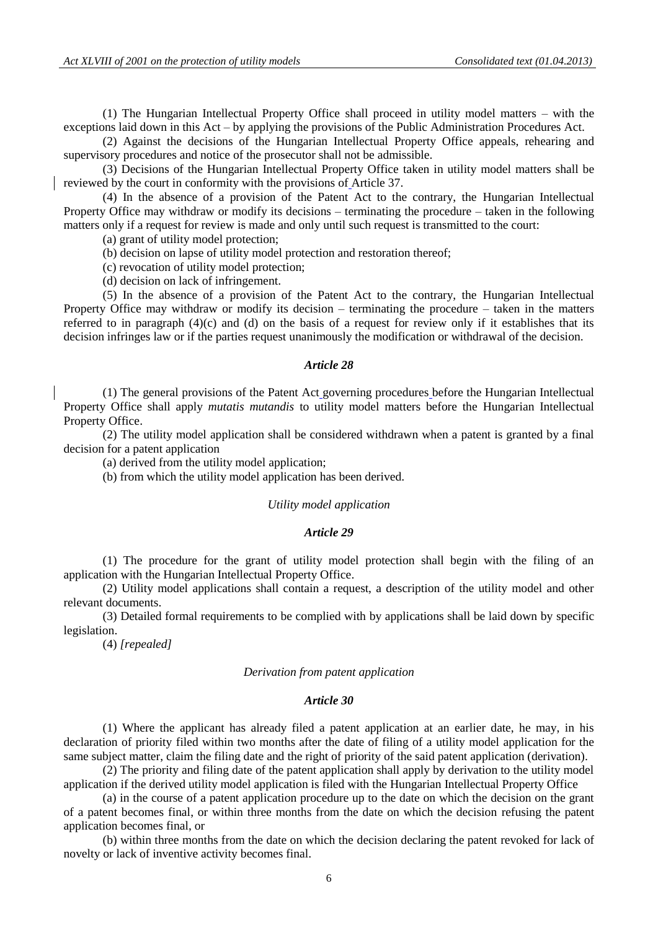(1) The Hungarian Intellectual Property Office shall proceed in utility model matters – with the exceptions laid down in this Act – by applying the provisions of the Public Administration Procedures Act.

(2) Against the decisions of the Hungarian Intellectual Property Office appeals, rehearing and supervisory procedures and notice of the prosecutor shall not be admissible.

(3) Decisions of the Hungarian Intellectual Property Office taken in utility model matters shall be reviewed by the court in conformity with the provisions of Article 37.

(4) In the absence of a provision of the Patent Act to the contrary, the Hungarian Intellectual Property Office may withdraw or modify its decisions – terminating the procedure – taken in the following matters only if a request for review is made and only until such request is transmitted to the court:

(a) grant of utility model protection;

(b) decision on lapse of utility model protection and restoration thereof;

(c) revocation of utility model protection;

(d) decision on lack of infringement.

(5) In the absence of a provision of the Patent Act to the contrary, the Hungarian Intellectual Property Office may withdraw or modify its decision – terminating the procedure – taken in the matters referred to in paragraph (4)(c) and (d) on the basis of a request for review only if it establishes that its decision infringes law or if the parties request unanimously the modification or withdrawal of the decision.

#### *Article 28*

(1) The general provisions of the Patent Act governing procedures before the Hungarian Intellectual Property Office shall apply *mutatis mutandis* to utility model matters before the Hungarian Intellectual Property Office.

(2) The utility model application shall be considered withdrawn when a patent is granted by a final decision for a patent application

(a) derived from the utility model application;

(b) from which the utility model application has been derived.

#### *Utility model application*

### *Article 29*

(1) The procedure for the grant of utility model protection shall begin with the filing of an application with the Hungarian Intellectual Property Office.

(2) Utility model applications shall contain a request, a description of the utility model and other relevant documents.

(3) Detailed formal requirements to be complied with by applications shall be laid down by specific legislation.

(4) *[repealed]*

#### *Derivation from patent application*

#### *Article 30*

(1) Where the applicant has already filed a patent application at an earlier date, he may, in his declaration of priority filed within two months after the date of filing of a utility model application for the same subject matter, claim the filing date and the right of priority of the said patent application (derivation).

(2) The priority and filing date of the patent application shall apply by derivation to the utility model application if the derived utility model application is filed with the Hungarian Intellectual Property Office

(a) in the course of a patent application procedure up to the date on which the decision on the grant of a patent becomes final, or within three months from the date on which the decision refusing the patent application becomes final, or

(b) within three months from the date on which the decision declaring the patent revoked for lack of novelty or lack of inventive activity becomes final.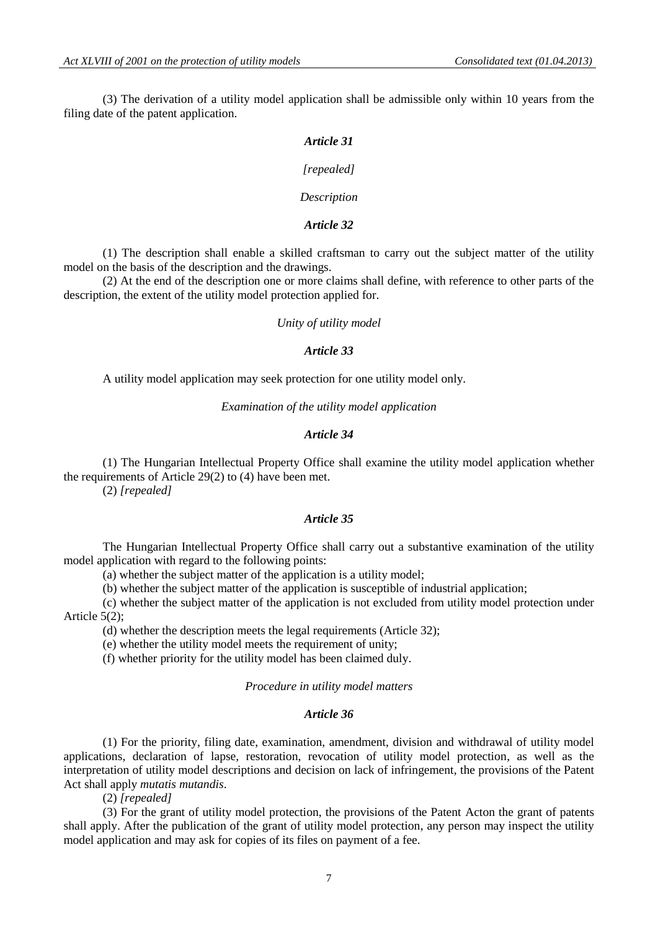(3) The derivation of a utility model application shall be admissible only within 10 years from the filing date of the patent application.

# *Article 31*

#### *[repealed]*

#### *Description*

# *Article 32*

(1) The description shall enable a skilled craftsman to carry out the subject matter of the utility model on the basis of the description and the drawings.

(2) At the end of the description one or more claims shall define, with reference to other parts of the description, the extent of the utility model protection applied for.

*Unity of utility model*

### *Article 33*

A utility model application may seek protection for one utility model only.

*Examination of the utility model application*

### *Article 34*

(1) The Hungarian Intellectual Property Office shall examine the utility model application whether the requirements of Article 29(2) to (4) have been met. (2) *[repealed]*

### *Article 35*

The Hungarian Intellectual Property Office shall carry out a substantive examination of the utility model application with regard to the following points:

(a) whether the subject matter of the application is a utility model;

(b) whether the subject matter of the application is susceptible of industrial application;

(c) whether the subject matter of the application is not excluded from utility model protection under Article 5(2);

(d) whether the description meets the legal requirements (Article 32);

(e) whether the utility model meets the requirement of unity;

(f) whether priority for the utility model has been claimed duly.

# *Procedure in utility model matters*

### *Article 36*

(1) For the priority, filing date, examination, amendment, division and withdrawal of utility model applications, declaration of lapse, restoration, revocation of utility model protection, as well as the interpretation of utility model descriptions and decision on lack of infringement, the provisions of the Patent Act shall apply *mutatis mutandis*.

(2) *[repealed]*

(3) For the grant of utility model protection, the provisions of the Patent Acton the grant of patents shall apply. After the publication of the grant of utility model protection, any person may inspect the utility model application and may ask for copies of its files on payment of a fee.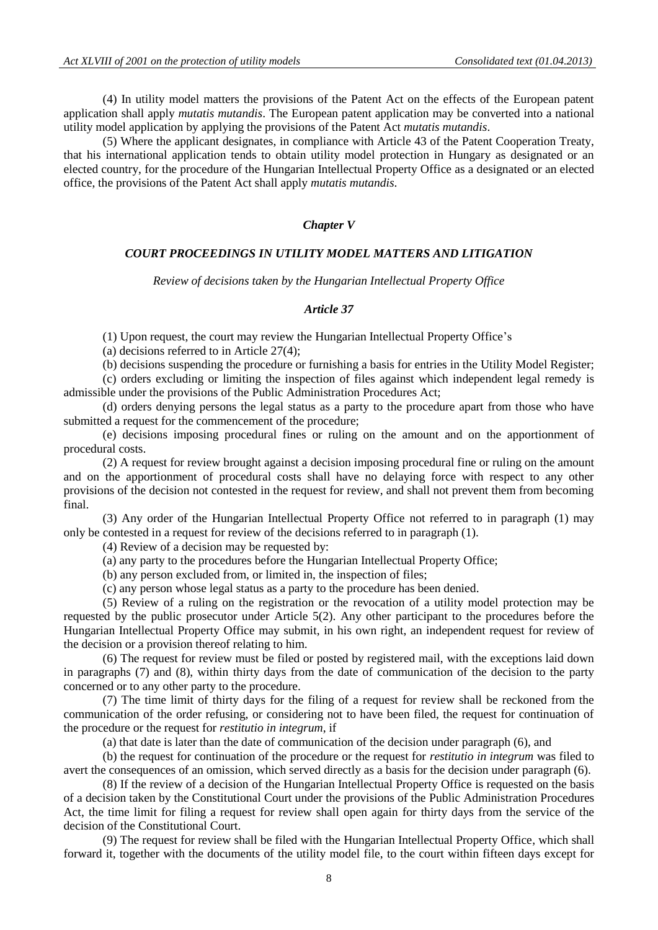(4) In utility model matters the provisions of the Patent Act on the effects of the European patent application shall apply *mutatis mutandis*. The European patent application may be converted into a national utility model application by applying the provisions of the Patent Act *mutatis mutandis*.

(5) Where the applicant designates, in compliance with Article 43 of the Patent Cooperation Treaty, that his international application tends to obtain utility model protection in Hungary as designated or an elected country, for the procedure of the Hungarian Intellectual Property Office as a designated or an elected office, the provisions of the Patent Act shall apply *mutatis mutandis*.

### *Chapter V*

### *COURT PROCEEDINGS IN UTILITY MODEL MATTERS AND LITIGATION*

*Review of decisions taken by the Hungarian Intellectual Property Office*

# *Article 37*

(1) Upon request, the court may review the Hungarian Intellectual Property Office's

(a) decisions referred to in Article 27(4);

(b) decisions suspending the procedure or furnishing a basis for entries in the Utility Model Register; (c) orders excluding or limiting the inspection of files against which independent legal remedy is admissible under the provisions of the Public Administration Procedures Act;

(d) orders denying persons the legal status as a party to the procedure apart from those who have submitted a request for the commencement of the procedure;

(e) decisions imposing procedural fines or ruling on the amount and on the apportionment of procedural costs.

(2) A request for review brought against a decision imposing procedural fine or ruling on the amount and on the apportionment of procedural costs shall have no delaying force with respect to any other provisions of the decision not contested in the request for review, and shall not prevent them from becoming final.

(3) Any order of the Hungarian Intellectual Property Office not referred to in paragraph (1) may only be contested in a request for review of the decisions referred to in paragraph (1).

(4) Review of a decision may be requested by:

(a) any party to the procedures before the Hungarian Intellectual Property Office;

(b) any person excluded from, or limited in, the inspection of files;

(c) any person whose legal status as a party to the procedure has been denied.

(5) Review of a ruling on the registration or the revocation of a utility model protection may be requested by the public prosecutor under Article 5(2). Any other participant to the procedures before the Hungarian Intellectual Property Office may submit, in his own right, an independent request for review of the decision or a provision thereof relating to him.

(6) The request for review must be filed or posted by registered mail, with the exceptions laid down in paragraphs (7) and (8), within thirty days from the date of communication of the decision to the party concerned or to any other party to the procedure.

(7) The time limit of thirty days for the filing of a request for review shall be reckoned from the communication of the order refusing, or considering not to have been filed, the request for continuation of the procedure or the request for *restitutio in integrum*, if

(a) that date is later than the date of communication of the decision under paragraph (6), and

(b) the request for continuation of the procedure or the request for *restitutio in integrum* was filed to avert the consequences of an omission, which served directly as a basis for the decision under paragraph (6).

(8) If the review of a decision of the Hungarian Intellectual Property Office is requested on the basis of a decision taken by the Constitutional Court under the provisions of the Public Administration Procedures Act, the time limit for filing a request for review shall open again for thirty days from the service of the decision of the Constitutional Court.

(9) The request for review shall be filed with the Hungarian Intellectual Property Office, which shall forward it, together with the documents of the utility model file, to the court within fifteen days except for